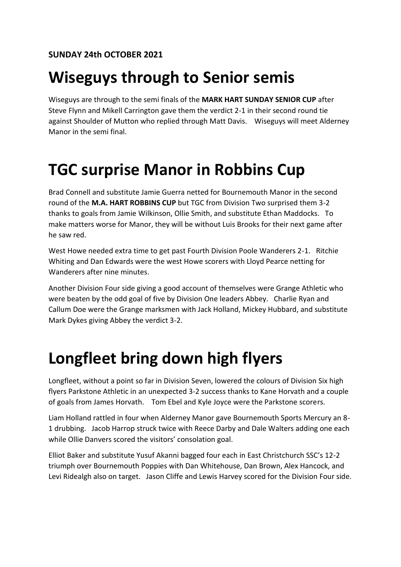#### **Wiseguys through to Senior semis**

Wiseguys are through to the semi finals of the **MARK HART SUNDAY SENIOR CUP** after Steve Flynn and Mikell Carrington gave them the verdict 2-1 in their second round tie against Shoulder of Mutton who replied through Matt Davis. Wiseguys will meet Alderney Manor in the semi final.

### **TGC surprise Manor in Robbins Cup**

Brad Connell and substitute Jamie Guerra netted for Bournemouth Manor in the second round of the **M.A. HART ROBBINS CUP** but TGC from Division Two surprised them 3-2 thanks to goals from Jamie Wilkinson, Ollie Smith, and substitute Ethan Maddocks. To make matters worse for Manor, they will be without Luis Brooks for their next game after he saw red.

West Howe needed extra time to get past Fourth Division Poole Wanderers 2-1. Ritchie Whiting and Dan Edwards were the west Howe scorers with Lloyd Pearce netting for Wanderers after nine minutes.

Another Division Four side giving a good account of themselves were Grange Athletic who were beaten by the odd goal of five by Division One leaders Abbey. Charlie Ryan and Callum Doe were the Grange marksmen with Jack Holland, Mickey Hubbard, and substitute Mark Dykes giving Abbey the verdict 3-2.

## **Longfleet bring down high flyers**

Longfleet, without a point so far in Division Seven, lowered the colours of Division Six high flyers Parkstone Athletic in an unexpected 3-2 success thanks to Kane Horvath and a couple of goals from James Horvath. Tom Ebel and Kyle Joyce were the Parkstone scorers.

Liam Holland rattled in four when Alderney Manor gave Bournemouth Sports Mercury an 8- 1 drubbing. Jacob Harrop struck twice with Reece Darby and Dale Walters adding one each while Ollie Danvers scored the visitors' consolation goal.

Elliot Baker and substitute Yusuf Akanni bagged four each in East Christchurch SSC's 12-2 triumph over Bournemouth Poppies with Dan Whitehouse, Dan Brown, Alex Hancock, and Levi Ridealgh also on target. Jason Cliffe and Lewis Harvey scored for the Division Four side.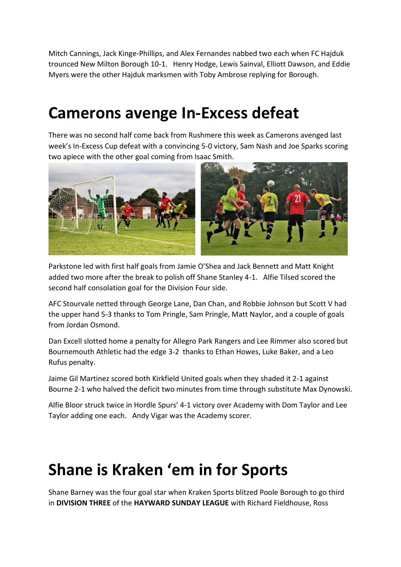Mitch Cannings, Jack Kinge-Phillips, and Alex Fernandes nabbed two each when FC Hajduk trounced New Milton Borough 10-1. Henry Hodge, Lewis Sainval, Elliott Dawson, and Eddie Myers were the other Hajduk marksmen with Toby Ambrose replying for Borough.

#### **Camerons avenge In-Excess defeat**

There was no second half come back from Rushmere this week as Camerons avenged last week's In-Excess Cup defeat with a convincing 5-0 victory, Sam Nash and Joe Sparks scoring two apiece with the other goal coming from Isaac Smith.



Parkstone led with first half goals from Jamie O'Shea and Jack Bennett and Matt Knight added two more after the break to polish off Shane Stanley 4-1. Alfie Tilsed scored the second half consolation goal for the Division Four side.

AFC Stourvale netted through George Lane, Dan Chan, and Robbie Johnson but Scott V had the upper hand 5-3 thanks to Tom Pringle, Sam Pringle, Matt Naylor, and a couple of goals from Jordan Osmond.

Dan Excell slotted home a penalty for Allegro Park Rangers and Lee Rimmer also scored but Bournemouth Athletic had the edge 3-2 thanks to Ethan Howes, Luke Baker, and a Leo Rufus penalty.

Jaime Gil Martinez scored both Kirkfield United goals when they shaded it 2-1 against Bourne 2-1 who halved the deficit two minutes from time through substitute Max Dynowski.

Alfie Bloor struck twice in Hordle Spurs' 4-1 victory over Academy with Dom Taylor and Lee Taylor adding one each. Andy Vigar was the Academy scorer.

### **Shane is Kraken 'em in for Sports**

Shane Barney was the four goal star when Kraken Sports blitzed Poole Borough to go third in **DIVISION THREE** of the **HAYWARD SUNDAY LEAGUE** with Richard Fieldhouse, Ross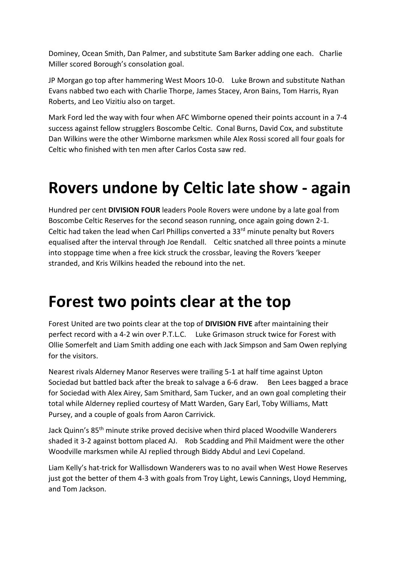Dominey, Ocean Smith, Dan Palmer, and substitute Sam Barker adding one each. Charlie Miller scored Borough's consolation goal.

JP Morgan go top after hammering West Moors 10-0. Luke Brown and substitute Nathan Evans nabbed two each with Charlie Thorpe, James Stacey, Aron Bains, Tom Harris, Ryan Roberts, and Leo Vizitiu also on target.

Mark Ford led the way with four when AFC Wimborne opened their points account in a 7-4 success against fellow strugglers Boscombe Celtic. Conal Burns, David Cox, and substitute Dan Wilkins were the other Wimborne marksmen while Alex Rossi scored all four goals for Celtic who finished with ten men after Carlos Costa saw red.

### **Rovers undone by Celtic late show - again**

Hundred per cent **DIVISION FOUR** leaders Poole Rovers were undone by a late goal from Boscombe Celtic Reserves for the second season running, once again going down 2-1. Celtic had taken the lead when Carl Phillips converted a  $33<sup>rd</sup>$  minute penalty but Rovers equalised after the interval through Joe Rendall. Celtic snatched all three points a minute into stoppage time when a free kick struck the crossbar, leaving the Rovers 'keeper stranded, and Kris Wilkins headed the rebound into the net.

#### **Forest two points clear at the top**

Forest United are two points clear at the top of **DIVISION FIVE** after maintaining their perfect record with a 4-2 win over P.T.L.C. Luke Grimason struck twice for Forest with Ollie Somerfelt and Liam Smith adding one each with Jack Simpson and Sam Owen replying for the visitors.

Nearest rivals Alderney Manor Reserves were trailing 5-1 at half time against Upton Sociedad but battled back after the break to salvage a 6-6 draw. Ben Lees bagged a brace for Sociedad with Alex Airey, Sam Smithard, Sam Tucker, and an own goal completing their total while Alderney replied courtesy of Matt Warden, Gary Earl, Toby Williams, Matt Pursey, and a couple of goals from Aaron Carrivick.

Jack Quinn's 85th minute strike proved decisive when third placed Woodville Wanderers shaded it 3-2 against bottom placed AJ. Rob Scadding and Phil Maidment were the other Woodville marksmen while AJ replied through Biddy Abdul and Levi Copeland.

Liam Kelly's hat-trick for Wallisdown Wanderers was to no avail when West Howe Reserves just got the better of them 4-3 with goals from Troy Light, Lewis Cannings, Lloyd Hemming, and Tom Jackson.